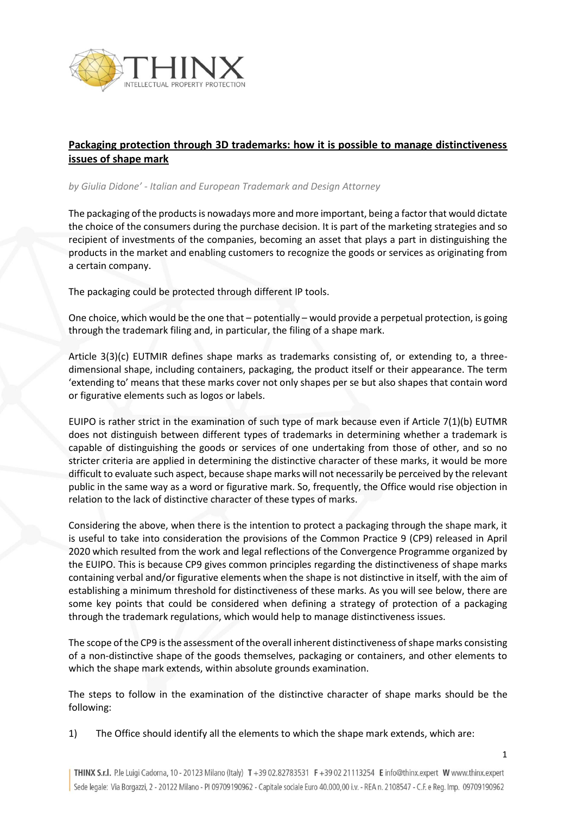

## **Packaging protection through 3D trademarks: how it is possible to manage distinctiveness issues of shape mark**

## *by Giulia Didone' - Italian and European Trademark and Design Attorney*

The packaging of the products is nowadays more and more important, being a factor that would dictate the choice of the consumers during the purchase decision. It is part of the marketing strategies and so recipient of investments of the companies, becoming an asset that plays a part in distinguishing the products in the market and enabling customers to recognize the goods or services as originating from a certain company.

The packaging could be protected through different IP tools.

One choice, which would be the one that – potentially – would provide a perpetual protection, is going through the trademark filing and, in particular, the filing of a shape mark.

Article 3(3)(c) EUTMIR defines shape marks as trademarks consisting of, or extending to, a threedimensional shape, including containers, packaging, the product itself or their appearance. The term 'extending to' means that these marks cover not only shapes per se but also shapes that contain word or figurative elements such as logos or labels.

EUIPO is rather strict in the examination of such type of mark because even if Article 7(1)(b) EUTMR does not distinguish between different types of trademarks in determining whether a trademark is capable of distinguishing the goods or services of one undertaking from those of other, and so no stricter criteria are applied in determining the distinctive character of these marks, it would be more difficult to evaluate such aspect, because shape marks will not necessarily be perceived by the relevant public in the same way as a word or figurative mark. So, frequently, the Office would rise objection in relation to the lack of distinctive character of these types of marks.

Considering the above, when there is the intention to protect a packaging through the shape mark, it is useful to take into consideration the provisions of the Common Practice 9 (CP9) released in April 2020 which resulted from the work and legal reflections of the Convergence Programme organized by the EUIPO. This is because CP9 gives common principles regarding the distinctiveness of shape marks containing verbal and/or figurative elements when the shape is not distinctive in itself, with the aim of establishing a minimum threshold for distinctiveness of these marks. As you will see below, there are some key points that could be considered when defining a strategy of protection of a packaging through the trademark regulations, which would help to manage distinctiveness issues.

The scope of the CP9 is the assessment of the overall inherent distinctiveness of shape marks consisting of a non-distinctive shape of the goods themselves, packaging or containers, and other elements to which the shape mark extends, within absolute grounds examination.

The steps to follow in the examination of the distinctive character of shape marks should be the following:

1) The Office should identify all the elements to which the shape mark extends, which are: